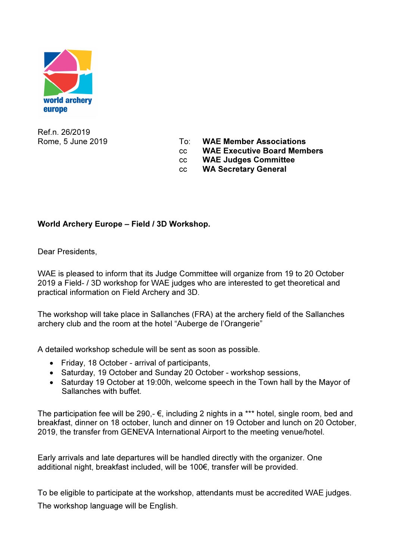

Ref.n. 26/2019

- Rome, 5 June 2019 To: WAE Member Associations
	- cc WAE Executive Board Members
	- cc WAE Judges Committee
	- cc WA Secretary General

## World Archery Europe – Field / 3D Workshop.

Dear Presidents.

WAE is pleased to inform that its Judge Committee will organize from 19 to 20 October 2019 a Field- / 3D workshop for WAE judges who are interested to get theoretical and practical information on Field Archery and 3D.

The workshop will take place in Sallanches (FRA) at the archery field of the Sallanches archery club and the room at the hotel "Auberge de l'Orangerie"

A detailed workshop schedule will be sent as soon as possible.

- Friday, 18 October arrival of participants,
- Saturday, 19 October and Sunday 20 October workshop sessions,
- Saturday 19 October at 19:00h, welcome speech in the Town hall by the Mayor of Sallanches with buffet.

The participation fee will be 290,-  $\epsilon$ , including 2 nights in a \*\*\* hotel, single room, bed and breakfast, dinner on 18 october, lunch and dinner on 19 October and lunch on 20 October, 2019, the transfer from GENEVA International Airport to the meeting venue/hotel.

Early arrivals and late departures will be handled directly with the organizer. One additional night, breakfast included, will be 100€, transfer will be provided.

To be eligible to participate at the workshop, attendants must be accredited WAE judges. The workshop language will be English.